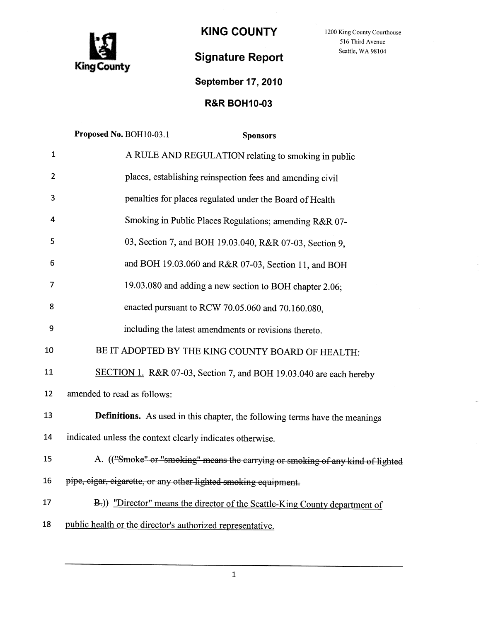

KING COUNTY 1200 King County Courthouse

516 Third Avenue Seattle, WA 98104

# Signature Report

## September 17, 2010

## R&R BOH10-03

|                | Proposed No. BOH10-03.1<br><b>Sponsors</b>                                     |
|----------------|--------------------------------------------------------------------------------|
| 1              | A RULE AND REGULATION relating to smoking in public                            |
| $\overline{2}$ | places, establishing reinspection fees and amending civil                      |
| 3              | penalties for places regulated under the Board of Health                       |
| 4              | Smoking in Public Places Regulations; amending R&R 07-                         |
| 5              | 03, Section 7, and BOH 19.03.040, R&R 07-03, Section 9,                        |
| 6              | and BOH 19.03.060 and R&R 07-03, Section 11, and BOH                           |
| 7              | 19.03.080 and adding a new section to BOH chapter 2.06;                        |
| 8              | enacted pursuant to RCW 70.05.060 and 70.160.080,                              |
| 9              | including the latest amendments or revisions thereto.                          |
| 10             | BE IT ADOPTED BY THE KING COUNTY BOARD OF HEALTH:                              |
| 11             | SECTION 1. R&R 07-03, Section 7, and BOH 19.03.040 are each hereby             |
| 12             | amended to read as follows:                                                    |
| 13             | Definitions. As used in this chapter, the following terms have the meanings    |
| 14             | indicated unless the context clearly indicates otherwise.                      |
| 15             | A. (("Smoke" or "smoking" means the carrying or smoking of any kind of lighted |
| 16             | pipe, cigar, cigarette, or any other lighted smoking equipment.                |
| 17             | B.)) "Director" means the director of the Seattle-King County department of    |
| 18             | public health or the director's authorized representative.                     |
|                |                                                                                |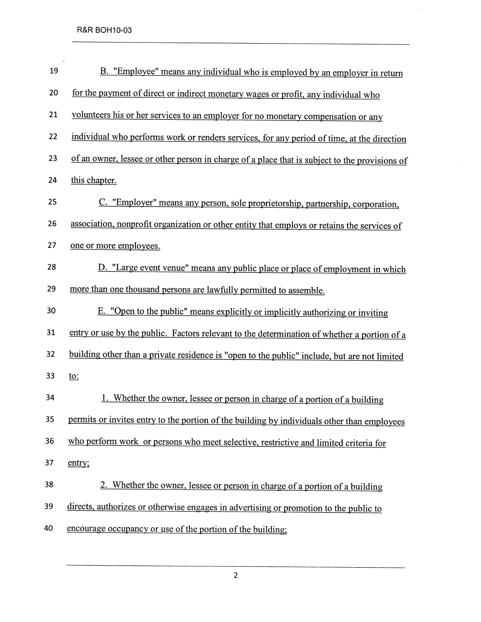| 19 | B. "Employee" means any individual who is employed by an employer in return                   |  |  |  |
|----|-----------------------------------------------------------------------------------------------|--|--|--|
| 20 | for the payment of direct or indirect monetary wages or profit, any individual who            |  |  |  |
| 21 | volunteers his or her services to an employer for no monetary compensation or any             |  |  |  |
| 22 | individual who performs work or renders services, for any period of time, at the direction    |  |  |  |
| 23 | of an owner, lessee or other person in charge of a place that is subject to the provisions of |  |  |  |
| 24 | this chapter.                                                                                 |  |  |  |
| 25 | C. "Employer" means any person, sole proprietorship, partnership, corporation,                |  |  |  |
| 26 | association, nonprofit organization or other entity that employs or retains the services of   |  |  |  |
| 27 | one or more employees.                                                                        |  |  |  |
| 28 | D. "Large event venue" means any public place or place of employment in which                 |  |  |  |
| 29 | more than one thousand persons are lawfully permitted to assemble.                            |  |  |  |
| 30 | E. "Open to the public" means explicitly or implicitly authorizing or inviting                |  |  |  |
| 31 | entry or use by the public. Factors relevant to the determination of whether a portion of a   |  |  |  |
| 32 | building other than a private residence is "open to the public" include, but are not limited  |  |  |  |
| 33 | <u>to:</u>                                                                                    |  |  |  |
| 34 | 1. Whether the owner, lessee or person in charge of a portion of a building                   |  |  |  |
| 35 | permits or invites entry to the portion of the building by individuals other than employees   |  |  |  |
| 36 | who perform work or persons who meet selective, restrictive and limited criteria for          |  |  |  |
| 37 | entry;                                                                                        |  |  |  |
| 38 | 2. Whether the owner, lessee or person in charge of a portion of a building                   |  |  |  |
| 39 | directs, authorizes or otherwise engages in advertising or promotion to the public to         |  |  |  |
| 40 | encourage occupancy or use of the portion of the building;                                    |  |  |  |

 $\hat{\mathcal{A}}$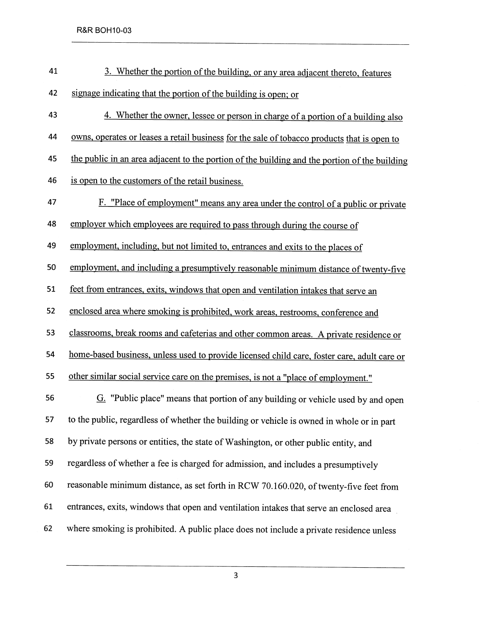| 41 | 3. Whether the portion of the building, or any area adjacent thereto, features                |  |  |  |
|----|-----------------------------------------------------------------------------------------------|--|--|--|
| 42 | signage indicating that the portion of the building is open; or                               |  |  |  |
| 43 | 4. Whether the owner, lessee or person in charge of a portion of a building also              |  |  |  |
| 44 | owns, operates or leases a retail business for the sale of tobacco products that is open to   |  |  |  |
| 45 | the public in an area adjacent to the portion of the building and the portion of the building |  |  |  |
| 46 | is open to the customers of the retail business.                                              |  |  |  |
| 47 | F. "Place of employment" means any area under the control of a public or private              |  |  |  |
| 48 | employer which employees are required to pass through during the course of                    |  |  |  |
| 49 | employment, including, but not limited to, entrances and exits to the places of               |  |  |  |
| 50 | employment, and including a presumptively reasonable minimum distance of twenty-five          |  |  |  |
| 51 | feet from entrances, exits, windows that open and ventilation intakes that serve an           |  |  |  |
| 52 | enclosed area where smoking is prohibited, work areas, restrooms, conference and              |  |  |  |
| 53 | classrooms, break rooms and cafeterias and other common areas. A private residence or         |  |  |  |
| 54 | home-based business, unless used to provide licensed child care, foster care, adult care or   |  |  |  |
| 55 | other similar social service care on the premises, is not a "place of employment."            |  |  |  |
| 56 | $G$ . "Public place" means that portion of any building or vehicle used by and open           |  |  |  |
| 57 | to the public, regardless of whether the building or vehicle is owned in whole or in part     |  |  |  |
| 58 | by private persons or entities, the state of Washington, or other public entity, and          |  |  |  |
| 59 | regardless of whether a fee is charged for admission, and includes a presumptively            |  |  |  |
| 60 | reasonable minimum distance, as set forth in RCW 70.160.020, of twenty-five feet from         |  |  |  |
| 61 | entrances, exits, windows that open and ventilation intakes that serve an enclosed area       |  |  |  |
| 62 | where smoking is prohibited. A public place does not include a private residence unless       |  |  |  |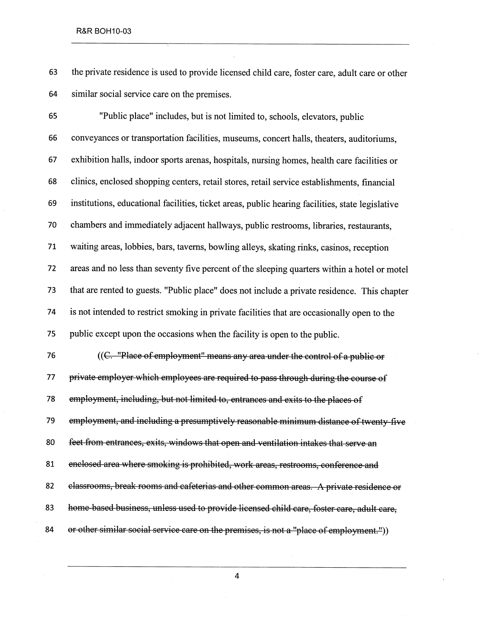#### R&R BOH10-03

63 the private residence is used to provide licensed child care, foster care, adult care or other 64 similar social service care on the premises.

65 "Public place" includes, but is not limited to, schools, elevators, public 66 conveyances or transportation facilities, museums, concert halls, theaters, auditoriums, 67 exhibition halls, indoor sports arenas, hospitals, nursing homes, health care facilities or 68 clinics, enclosed shopping centers, retail stores, retail service establishments, financial 69 institutions, educational facilities, ticket areas, public hearng facilities, state legislative 70 chambers and immediately adjacent hallways, public restrooms, libraries, restaurants, 71 waiting areas, lobbies, bars, taverns, bowling alleys, skating rinks, casinos, reception 72 areas and no less than seventy five percent of the sleeping quarters within a hotel or motel 73 that are rented to guests. "Public place" does not include a private residence. This chapter 74 is not intended to restrict smoking in private facilities that are occasionally open to the 75 public except upon the occasions when the facility is open to the public. 76  $((C. "Place of employment" means any area under the control of a public or$ 77 private employer which employees are required to pass through during the course of 78 employment, including, but not limited to, entrances and exits to the places of 79 employment, and including a presumptively reasonable minimum distance of twenty five 80 feet from entrances, exits, windows that open and ventilation intakes that serve an 81 enclosed area where smoking is prohibited, work areas, restrooms, conference and 82 classrooms, break rooms and cafeterias and other common areas. A private residence or 83 home based business, unless used to provide licensed child care, foster care, adult care,

84 or other similar social service care on the premises, is not a "place of employment.")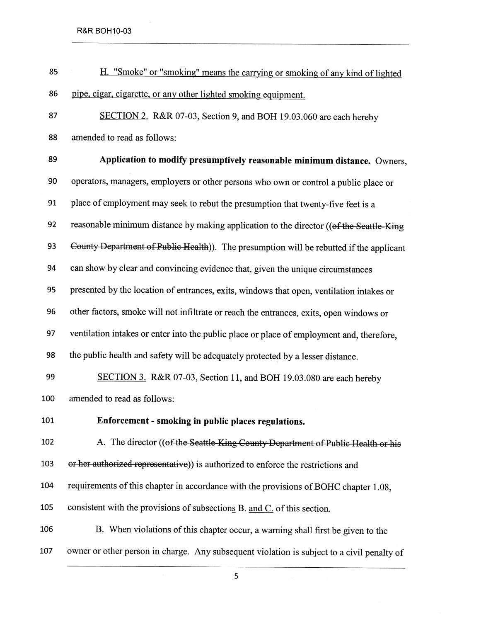R&R BOH10-03

 $\sim$ 

| 85  | H. "Smoke" or "smoking" means the carrying or smoking of any kind of lighted               |
|-----|--------------------------------------------------------------------------------------------|
| 86  | pipe, cigar, cigarette, or any other lighted smoking equipment.                            |
| 87  | SECTION 2. R&R 07-03, Section 9, and BOH 19.03.060 are each hereby                         |
| 88  | amended to read as follows:                                                                |
| 89  | Application to modify presumptively reasonable minimum distance. Owners,                   |
| 90  | operators, managers, employers or other persons who own or control a public place or       |
| 91  | place of employment may seek to rebut the presumption that twenty-five feet is a           |
| 92  | reasonable minimum distance by making application to the director ((of the Seattle-King    |
| 93  | County Department of Public Health)). The presumption will be rebutted if the applicant    |
| 94  | can show by clear and convincing evidence that, given the unique circumstances             |
| 95  | presented by the location of entrances, exits, windows that open, ventilation intakes or   |
| 96  | other factors, smoke will not infiltrate or reach the entrances, exits, open windows or    |
| 97  | ventilation intakes or enter into the public place or place of employment and, therefore,  |
| 98  | the public health and safety will be adequately protected by a lesser distance.            |
| 99  | SECTION 3. R&R 07-03, Section 11, and BOH 19.03.080 are each hereby                        |
| 100 | amended to read as follows:                                                                |
| 101 | Enforcement - smoking in public places regulations.                                        |
| 102 | A. The director ((of the Seattle-King County Department of Public Health or his            |
| 103 | or her authorized representative)) is authorized to enforce the restrictions and           |
| 104 | requirements of this chapter in accordance with the provisions of BOHC chapter 1.08,       |
| 105 | consistent with the provisions of subsections B. and C. of this section.                   |
| 106 | B. When violations of this chapter occur, a warning shall first be given to the            |
| 107 | owner or other person in charge. Any subsequent violation is subject to a civil penalty of |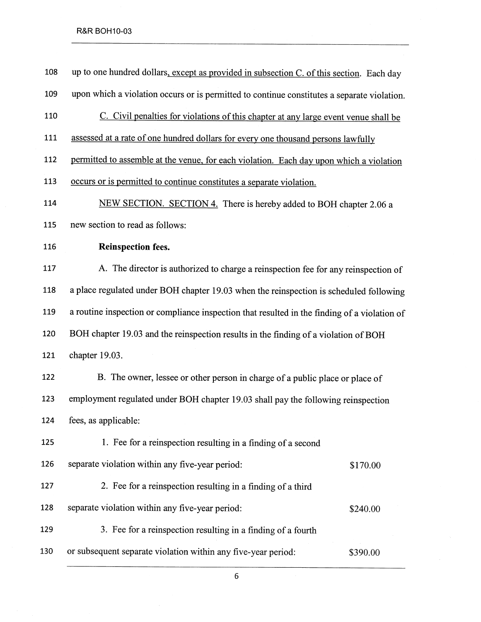### R&R BOH10-03

| 108 | up to one hundred dollars, except as provided in subsection C. of this section. Each day     |          |  |  |
|-----|----------------------------------------------------------------------------------------------|----------|--|--|
| 109 | upon which a violation occurs or is permitted to continue constitutes a separate violation.  |          |  |  |
| 110 | C. Civil penalties for violations of this chapter at any large event venue shall be          |          |  |  |
| 111 | assessed at a rate of one hundred dollars for every one thousand persons lawfully            |          |  |  |
| 112 | permitted to assemble at the venue, for each violation. Each day upon which a violation      |          |  |  |
| 113 | occurs or is permitted to continue constitutes a separate violation.                         |          |  |  |
| 114 | NEW SECTION. SECTION 4. There is hereby added to BOH chapter 2.06 a                          |          |  |  |
| 115 | new section to read as follows:                                                              |          |  |  |
| 116 | <b>Reinspection fees.</b>                                                                    |          |  |  |
| 117 | A. The director is authorized to charge a reinspection fee for any reinspection of           |          |  |  |
| 118 | a place regulated under BOH chapter 19.03 when the reinspection is scheduled following       |          |  |  |
| 119 | a routine inspection or compliance inspection that resulted in the finding of a violation of |          |  |  |
| 120 | BOH chapter 19.03 and the reinspection results in the finding of a violation of BOH          |          |  |  |
| 121 | chapter 19.03.                                                                               |          |  |  |
| 122 | B. The owner, lessee or other person in charge of a public place or place of                 |          |  |  |
| 123 | employment regulated under BOH chapter 19.03 shall pay the following reinspection            |          |  |  |
| 124 | fees, as applicable:                                                                         |          |  |  |
| 125 | 1. Fee for a reinspection resulting in a finding of a second                                 |          |  |  |
| 126 | separate violation within any five-year period:                                              | \$170.00 |  |  |
| 127 | 2. Fee for a reinspection resulting in a finding of a third                                  |          |  |  |
| 128 | separate violation within any five-year period:                                              | \$240.00 |  |  |
| 129 | 3. Fee for a reinspection resulting in a finding of a fourth                                 |          |  |  |
| 130 | or subsequent separate violation within any five-year period:                                | \$390.00 |  |  |